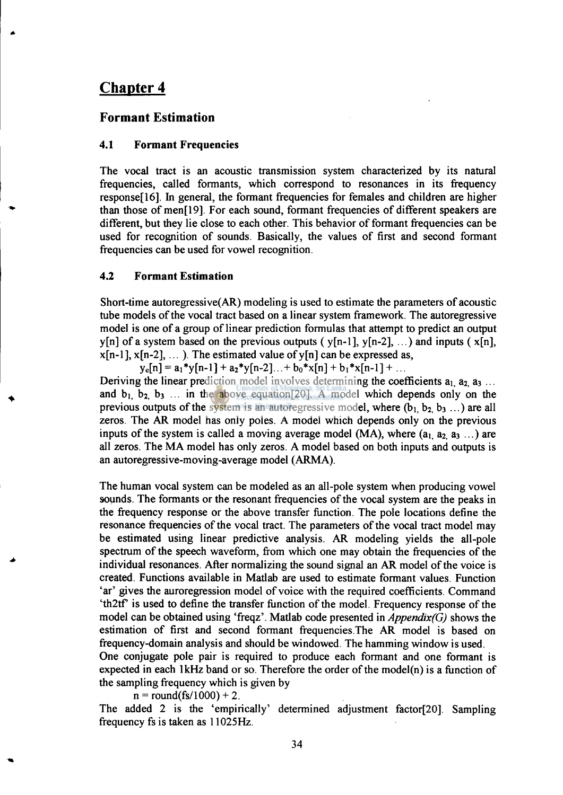# **Chapter 4**

## **Formant Estimation**

#### **4.1 Formant Frequencies**

The vocal tract is an acoustic transmission system characterized by its natural frequencies, called formants, which correspond to resonances in its frequency response[16]. In general, the formant frequencies for females and children are higher than those of men<sup>[19]</sup>. For each sound, formant frequencies of different speakers are different, but they lie close to each other. This behavior of formant frequencies can be used for recognition of sounds. Basically, the values of first and second formant frequencies can be used for vowel recognition.

#### **4.2 Formant Estimation**

Short-time autoregressive(AR) modeling is used to estimate the parameters of acoustic tube models of the vocal tract based on a linear system framework. The autoregressive model is one of a group of linear prediction formulas that attempt to predict an output  $y[n]$  of a system based on the previous outputs ( $y[n-1]$ ,  $y[n-2]$ , ...) and inputs ( $x[n]$ ,  $x[n-1]$ ,  $x[n-2]$ , ... ). The estimated value of y[n] can be expressed as,

 $y_e[n] = a_1 * y[n-1] + a_2 * y[n-2] \dots + b_0 * x[n] + b_1 * x[n-1] + \dots$ Deriving the linear prediction model involves determining the coefficients  $a_1$ ,  $a_2$ ,  $a_3$ ,... and  $b_1$ ,  $b_2$ ,  $b_3$  ... in the above equation<sup>[20]</sup>. A model which depends only on the previous outputs of the system is an autoregressive model, where  $(b_1, b_2, b_3, \ldots)$  are all zeros. The AR model has only poles. A model which depends only on the previous inputs of the system is called a moving average model (MA), where  $(a_1, a_2, a_3, \ldots)$  are all zeros. The MA model has only zeros. A model based on both inputs and outputs is an autoregressive-moving-average model (ARMA).

The human vocal system can be modeled as an all-pole system when producing vowel sounds. The formants or the resonant frequencies of the vocal system are the peaks in the frequency response or the above transfer function. The pole locations define the resonance frequencies of the vocal tract. The parameters of the vocal tract model may be estimated using linear predictive analysis. AR modeling yields the all-pole spectrum of the speech waveform, from which one may obtain the frequencies of the individual resonances. After normalizing the sound signal an AR model of the voice is created. Functions available in Matlab are used to estimate formant values. Function 'ar' gives the auroregression model of voice with the required coefficients. Command 'th2tf' is used to define the transfer function of the model. Frequency response of the model can be obtained using 'freqz'. Matlab code presented in *Appendix(G)* shows the estimation of first and second formant frequencies.The AR model is based on frequency-domain analysis and should be windowed. The hamming window is used.

One conjugate pole pair is required to produce each formant and one formant is expected in each 1kHz band or so. Therefore the order of the model(n) is a function of the sampling frequency which is given by

 $n = round(fs/1000) + 2$ .

The added 2 is the 'empirically' determined adjustment factor[20]. Sampling frequency fs is taken as 11025Hz.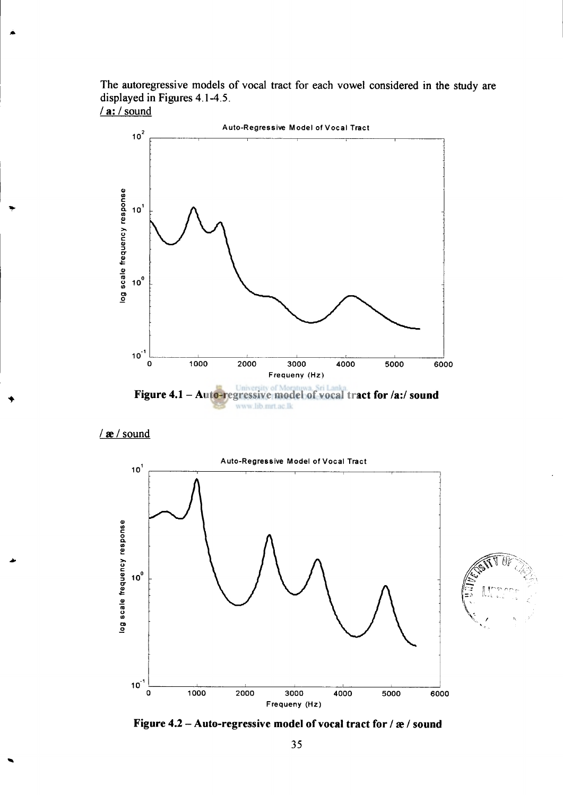The autoregressive models of vocal tract for each vowel considered in the study are displayed in Figures 4.1-4.5.





/ ae / sound



Figure 4.2 - Auto-regressive model of vocal tract for /  $\alpha$  / sound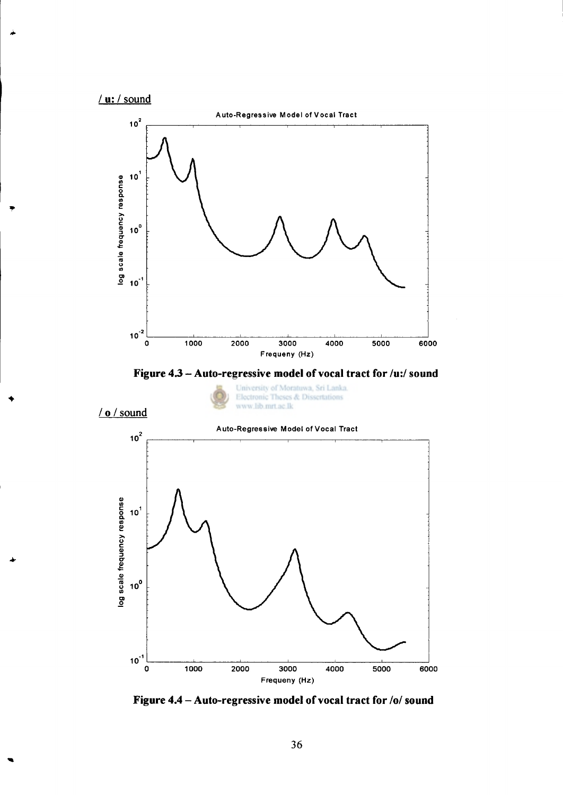

۸è



Figure 4.3 - Auto-regressive model of vocal tract for /u:/ sound





**Figure 4.4 - Auto-regressive model of vocal tract for** *lol* **sound**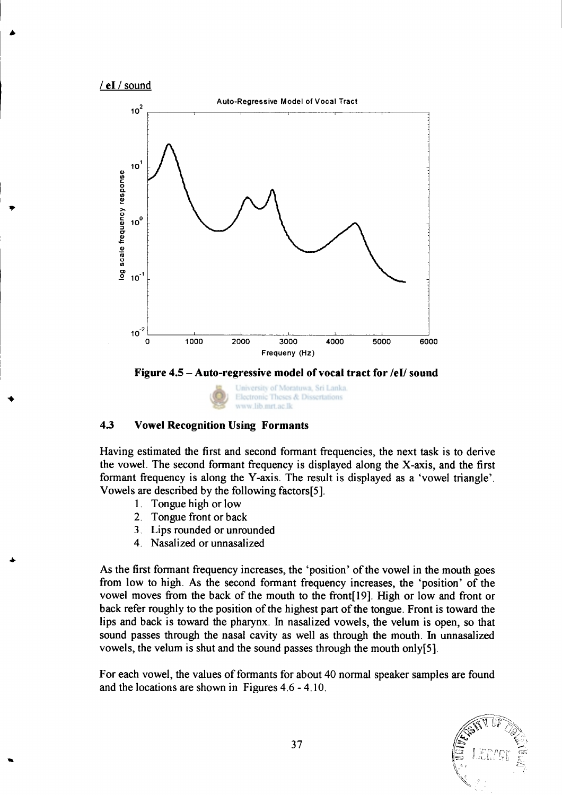/ eI / sound



**Figure 4.5 - Auto-regressive model of vocal tract for /el/ sound** 



### *43* **Vowel Recognition Using Formants**

Having estimated the first and second formant frequencies, the next task is to derive the vowel. The second formant frequency is displayed along the X-axis, and the first formant frequency is along the Y-axis. The result is displayed as a 'vowel triangle'. Vowels are described by the following factors[5].

- 1. Tongue high or low
- 2. Tongue front or back
- 3. Lips rounded or unrounded
- 4. Nasalized or unnasalized

As the first formant frequency increases, the 'position' of the vowel in the mouth goes from low to high. As the second formant frequency increases, the 'position' of the vowel moves from the back of the mouth to the front[19]. High or low and front or back refer roughly to the position of the highest part of the tongue. Front is toward the lips and back is toward the pharynx. In nasalized vowels, the velum is open, so that sound passes through the nasal cavity as well as through the mouth. In unnasalized vowels, the velum is shut and the sound passes through the mouth only[5].

For each vowel, the values of formants for about 40 normal speaker samples are found and the locations are shown in Figures 4.6 - 4.10.

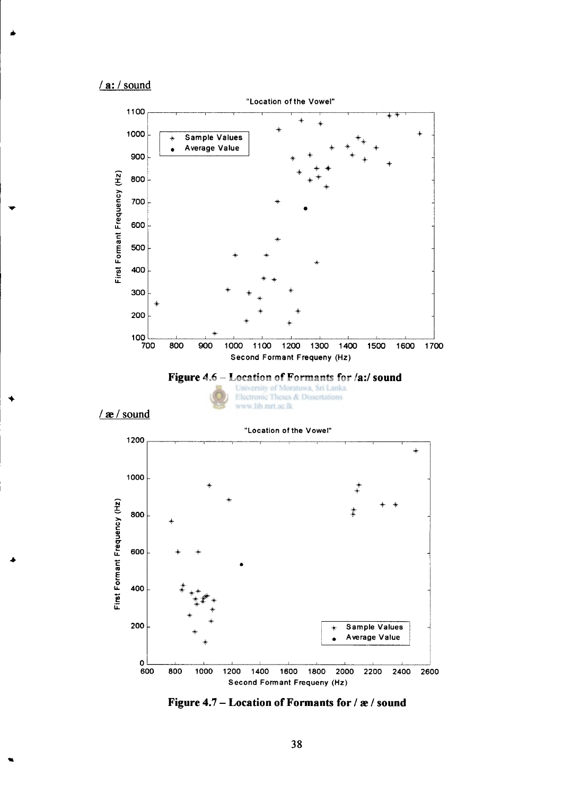$/$ a: / sound



Figure 4.7 - Location of Formants for / æ / sound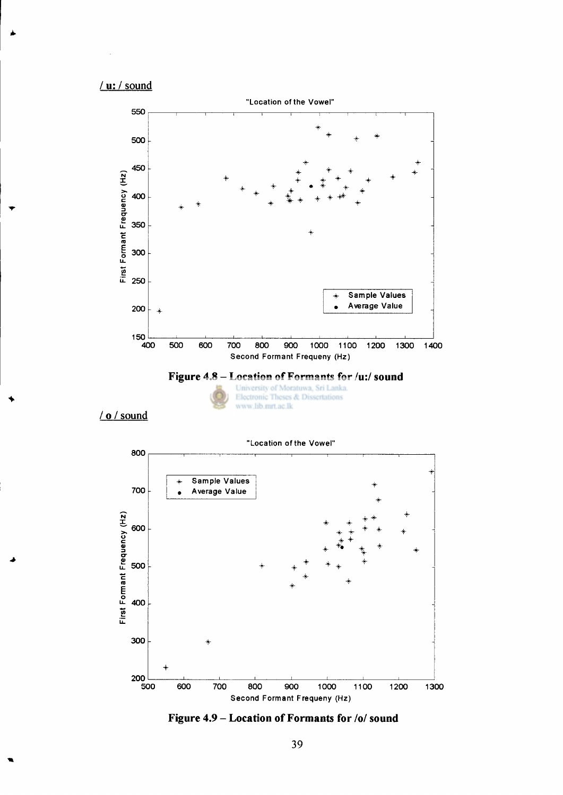**/ u:** / sound



**Figure 4.8 – Location of Formants for /u:/ sound <br>Linkesity of Moratuwa, Sri Lanka.** 







**Figure 4.9 - Location of Formants for** *lol* **sound**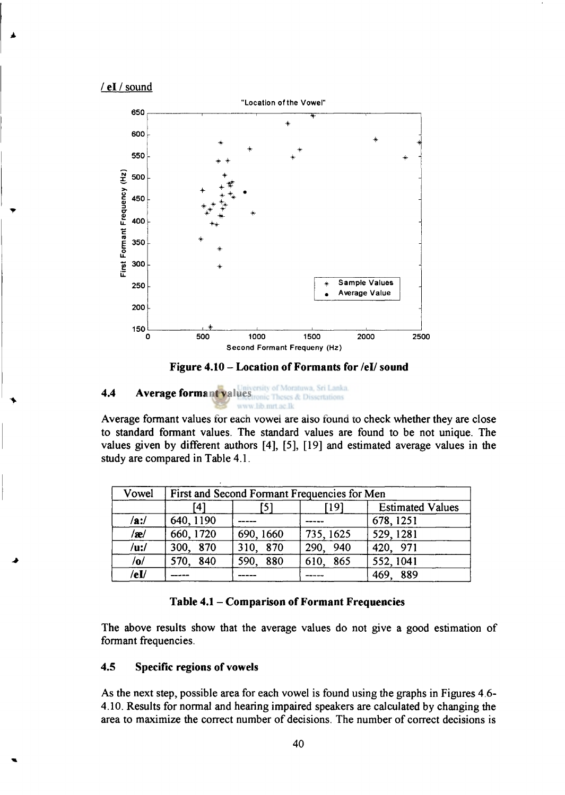/ el / sound



**Figure 4.10 - Location of Formants for /el/ sound** 

#### of Moratuwa, Sri Lanka. **4.4 Average formant values**  ic Theses & Dissertations www lib mrt ac Ik

Average formant values for each vowel are also found to check whether they are close to standard formant values. The standard values are found to be not unique. The values given by different authors [4], [5], [19] and estimated average values in the study are compared in Table 4.1.

| Vowel          | First and Second Formant Frequencies for Men |           |           |                         |
|----------------|----------------------------------------------|-----------|-----------|-------------------------|
|                | [4]                                          | 151       | [19]      | <b>Estimated Values</b> |
| /ai/           | 640, 1190                                    |           |           | 678, 1251               |
| /æ/            | 660, 1720                                    | 690, 1660 | 735, 1625 | 529, 1281               |
| $/$ u:/        | 300, 870                                     | 310, 870  | 290, 940  | 420, 971                |
| /0/            | 570, 840                                     | 590, 880  | 610, 865  | 552, 1041               |
| $/$ e $\bf{U}$ |                                              |           |           | 469, 889                |

#### **Table 4.1 - Comparison of Formant Frequencies**

The above results show that the average values do not give a good estimation of formant frequencies.

#### **4.5 Specific regions of vowels**

As the next step, possible area for each vowel is found using the graphs in Figures 4.6- 4.10. Results for normal and hearing impaired speakers are calculated by changing the area to maximize the correct number of decisions. The number of correct decisions is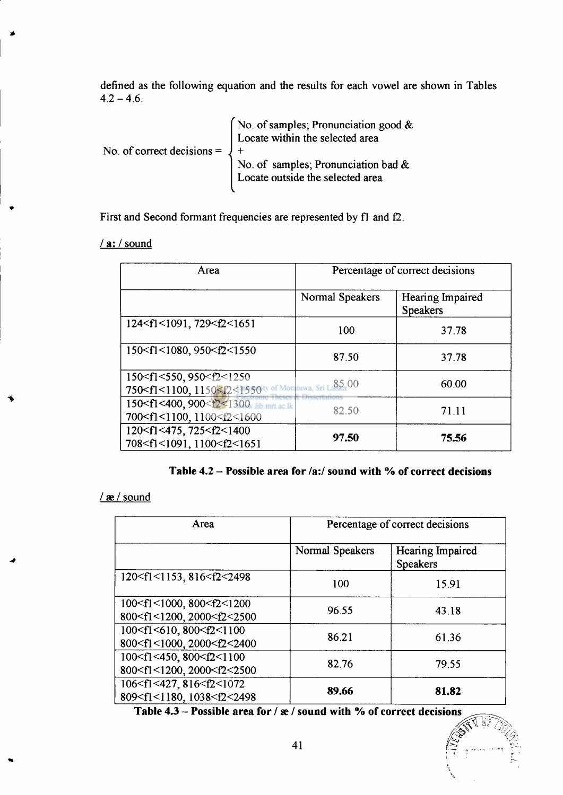defined as the following equation and the results for each vowel are shown in Tables  $4.2 - 4.6$ 

| No. of correct decisions = $\sqrt{ }$ + | No. of samples; Pronunciation good $\&$<br>Locate within the selected area |  |
|-----------------------------------------|----------------------------------------------------------------------------|--|
|                                         | No. of samples; Pronunciation bad &<br>Locate outside the selected area    |  |

First and Second formant frequencies are represented by fl and f2.

## / a: / sound

| Area                                                                                                                                    | Percentage of correct decisions |                                     |
|-----------------------------------------------------------------------------------------------------------------------------------------|---------------------------------|-------------------------------------|
|                                                                                                                                         | Normal Speakers                 | Hearing Impaired<br><b>Speakers</b> |
| 124 <f1<1091,729<f2<1651< td=""><td>100</td><td>37.78</td></f1<1091,729<f2<1651<>                                                       | 100                             | 37.78                               |
| 150 <f1<1080, 950<f2<1550<="" td=""><td>87.50</td><td>37.78</td></f1<1080,>                                                             | 87.50                           | 37.78                               |
| 150 <f1<550, 950<f2<1250<br="">750<f1<1100, 1150<f2<1550<="" td=""><td>of Moratuwa, Sri L.85,00</td><td>60.00</td></f1<1100,></f1<550,> | of Moratuwa, Sri L.85,00        | 60.00                               |
| 150 <f1<400, 900<f2<1300<br="">700<f1<1100, 1100<f2<1600<="" td=""><td>82.50</td><td>71.11</td></f1<1100,></f1<400,>                    | 82.50                           | 71.11                               |
| 120 <f1<475, 725<f2<1400<br="">708<f1<1091, 1100<f2<1651<="" td=""><td>97.50</td><td>75.56</td></f1<1091,></f1<475,>                    | 97.50                           | 75.56                               |

## **Table 4.2 - Possible area for /a:/ sound with % of correct decisions**

## / ae / sound

| Area                                                                                                                   | Percentage of correct decisions |                                     |  |
|------------------------------------------------------------------------------------------------------------------------|---------------------------------|-------------------------------------|--|
|                                                                                                                        | Normal Speakers                 | Hearing Impaired<br><b>Speakers</b> |  |
| 120 <f1<1153, 816<f2<2498<="" td=""><td>100</td><td>15.91</td></f1<1153,>                                              | 100                             | 15.91                               |  |
| 100 <f1<1000, 800<f2<1200<br="">800<f1<1200, 2000<f2<2500<="" td=""><td>96.55</td><td>43.18</td></f1<1200,></f1<1000,> | 96.55                           | 43.18                               |  |
| 100 <f1<610, 800<f2<1100<br="">800<f1<1000, 2000<f2<2400<="" td=""><td>86.21</td><td>61.36</td></f1<1000,></f1<610,>   | 86.21                           | 61.36                               |  |
| 100 <f1<450, 800<f2<1100<br="">800<f1<1200, 2000<f2<2500<="" td=""><td>82.76</td><td>79.55</td></f1<1200,></f1<450,>   | 82.76                           | 79.55                               |  |
| 106 <f1<427, 816<f2<1072<br="">809<f1<1180, 1038<f2<2498<="" td=""><td>89.66</td><td>81.82</td></f1<1180,></f1<427,>   | 89.66                           | 81.82                               |  |

**Table 4.3 - Possible area for / ae / sound with % of correct decisions** 

**CONTROLLER**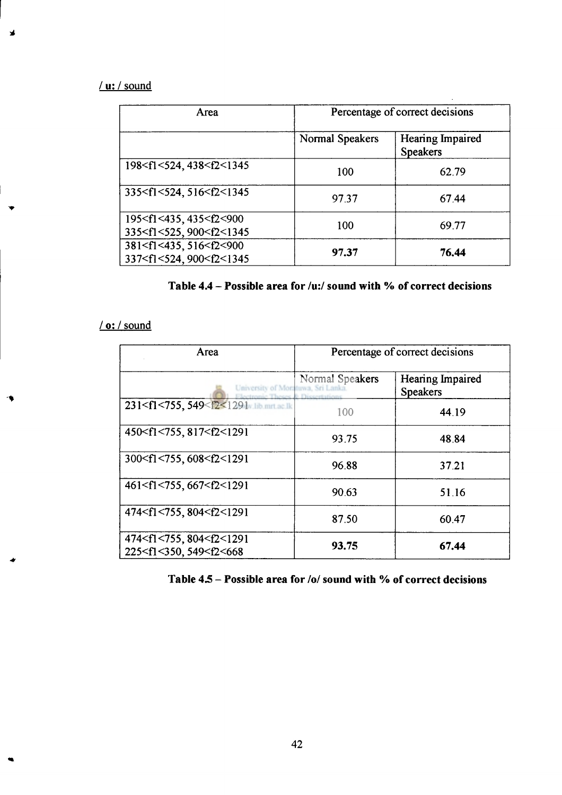## **/ u:** / sound

 $\blacktriangleright$ 

 $\ddot{\bullet}$ 

 $\bullet$ 

 $\bullet$ 

| Area                                                                                                             | Percentage of correct decisions |                                     |  |
|------------------------------------------------------------------------------------------------------------------|---------------------------------|-------------------------------------|--|
|                                                                                                                  | Normal Speakers                 | Hearing Impaired<br><b>Speakers</b> |  |
| 198 <f1<524, 438<f2<1345<="" td=""><td>100</td><td>62.79</td></f1<524,>                                          | 100                             | 62.79                               |  |
| 335 <f1<524, 516<f2<1345<="" td=""><td>97.37</td><td>67.44</td></f1<524,>                                        | 97.37                           | 67.44                               |  |
| 195 <f1<435, 435<f2<900<br="">335<f1<525, 900<f2<1345<="" td=""><td>100</td><td>69.77</td></f1<525,></f1<435,>   | 100                             | 69.77                               |  |
| 381 <f1<435, 516<f2<900<br="">337<f1<524, 900<f2<1345<="" td=""><td>97.37</td><td>76.44</td></f1<524,></f1<435,> | 97.37                           | 76.44                               |  |

## **Table 4.4 - Possible area for /u:/ sound with % of correct decisions**

# **/ o;** /sound

| Area                                                                                                             | Percentage of correct decisions                   |                                     |
|------------------------------------------------------------------------------------------------------------------|---------------------------------------------------|-------------------------------------|
| University of Moratuwa, Sri Lanka.                                                                               | Normal Speakers<br>trenic Theres: 8 Discortations | Hearing Impaired<br><b>Speakers</b> |
| 231 <f1<755, 549<f2<1291="" ac="" ik<="" in="" met="" td=""><td>100</td><td>44.19</td></f1<755,>                 | 100                                               | 44.19                               |
| 450 <f1<755, 817<f2<1291<="" td=""><td>93.75</td><td>48.84</td></f1<755,>                                        | 93.75                                             | 48.84                               |
| 300 <f1<755, 608<f2<1291<="" td=""><td>96.88</td><td>37.21</td></f1<755,>                                        | 96.88                                             | 37.21                               |
| 461 <f1<755, 667<f2<1291<="" td=""><td>90.63</td><td>51.16</td></f1<755,>                                        | 90.63                                             | 51.16                               |
| 474 <f1<755, 804<f2<1291<="" td=""><td>87.50</td><td>60.47</td></f1<755,>                                        | 87.50                                             | 60.47                               |
| 474 <f1<755, 804<f2<1291<br="">225<f1<350, 549<f2<668<="" td=""><td>93.75</td><td>67.44</td></f1<350,></f1<755,> | 93.75                                             | 67.44                               |

## Table 4.5 – Possible area for /o/ sound with % of correct decisions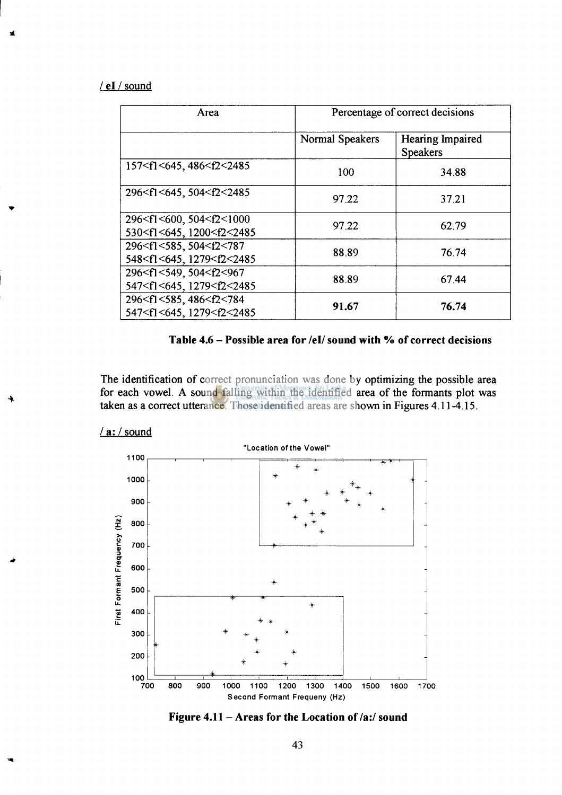#### / eI / sound

∡

| Area                                                                                                               | Percentage of correct decisions |                                     |
|--------------------------------------------------------------------------------------------------------------------|---------------------------------|-------------------------------------|
|                                                                                                                    | Normal Speakers                 | Hearing Impaired<br><b>Speakers</b> |
| 157 <f1<645, 486<f2<2485<="" td=""><td>100</td><td>34.88</td></f1<645,>                                            | 100                             | 34.88                               |
| 296 <f1<645, 504<f2<2485<="" td=""><td>97.22</td><td>37.21</td></f1<645,>                                          | 97.22                           | 37.21                               |
| 296 <f1<600, 504<f2<1000<br="">530<f1<645, 1200<f2<2485<="" td=""><td>97.22</td><td>62.79</td></f1<645,></f1<600,> | 97.22                           | 62.79                               |
| 296 <f1<585, 504<f2<787<br="">548<f1<645, 1279<f2<2485<="" td=""><td>88.89</td><td>76.74</td></f1<645,></f1<585,>  | 88.89                           | 76.74                               |
| 296 <f1<549, 504<f2<967<br="">547<f1<645, 1279<f2<2485<="" td=""><td>88.89</td><td>67.44</td></f1<645,></f1<549,>  | 88.89                           | 67.44                               |
| 296 <f1<585, 486<f2<784<br="">547<f1<645, 1279<f2<2485<="" td=""><td>91.67</td><td>76.74</td></f1<645,></f1<585,>  | 91.67                           | 76.74                               |

#### **Table 4.6 - Possible area for /el/ sound with % of correct decisions**

The identification of correct pronunciation was done by optimizing the possible area for each vowel. A sound falling within the identified area of the formants plot was taken as a correct utterance. Those identified areas are shown in Figures 4.11-4.15.





**Figure 4.11 - Areas for the Location of /a:/ sound**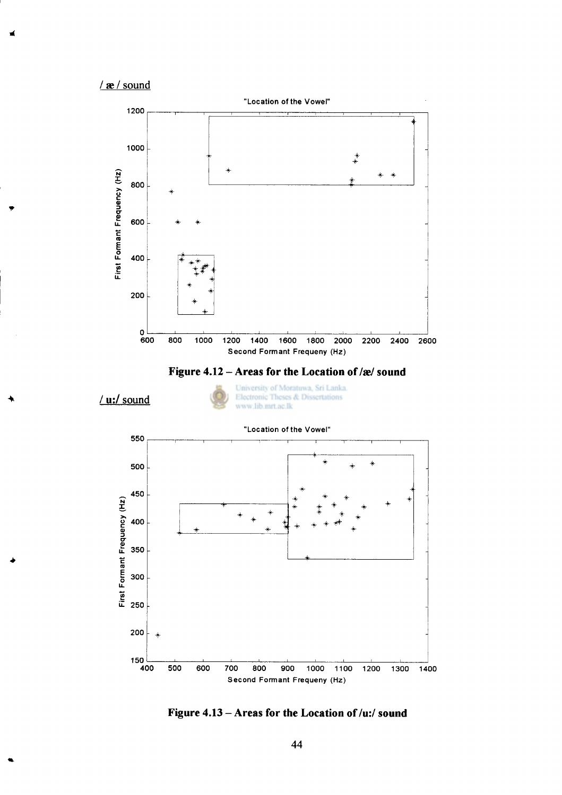/ ae / sound





*I w.l* sound





**Figure 4.13 - Areas for the Location of** *Iw.l* **sound**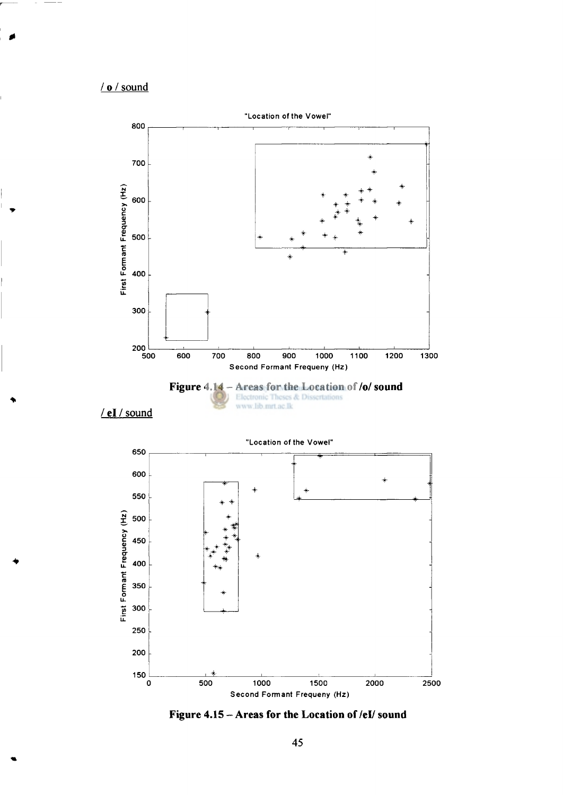$/ o / sound$ 



/ eI / sound



Figure 4.15 - Areas for the Location of /eI/ sound